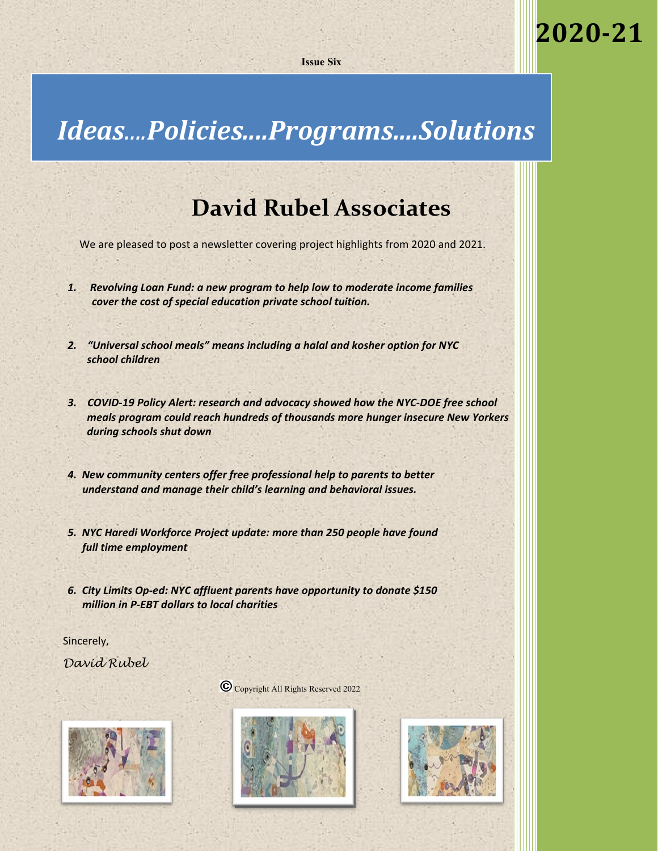**Issue Six** 

# **2020-21**

# *Ideas....Policies....Programs....Solutions*

## **David Rubel Associates**

We are pleased to post a newsletter covering project highlights from 2020 and 2021.

- *1. Revolving Loan Fund: a new program to help low to moderate income families cover the cost of special education private school tuition.*
- *2. "Universal school meals" means including a halal and kosher option for NYC school children*
- *3. COVID-19 Policy Alert: research and advocacy showed how the NYC-DOE free school meals program could reach hundreds of thousands more hunger insecure New Yorkers during schools shut down*
- *4. New community centers offer free professional help to parents to better understand and manage their child's learning and behavioral issues.*
- *5. NYC Haredi Workforce Project update: more than 250 people have found full time employment*
- *6. City Limits Op-ed: NYC affluent parents have opportunity to donate \$150 million in P-EBT dollars to local charities*

Sincerely, *David Rubel*



[C](http://www.google.com/imgres?imgurl=http://upload.wikimedia.org/wikipedia/commons/4/42/Copyright_symbol_9.gif&imgrefurl=http://commons.wikimedia.org/wiki/File:Copyright_symbol_9.gif&h=220&w=220&sz=4&tbnid=RztTQfUb4DcAVM:&tbnh=90&tbnw=90&prev=/search?q=copyright+symbol&tbm=isch&tbo=u&zoom=1&q=copyright+symbol&usg=__jdPxGVsBgsxzC5dxzezRhxvsGrw=&docid=HDWhDhpH6ElONM&sa=X&ei=0jAKUvHUJ8OCyQHlmIHoDQ&ved=0CE8Q9QEwAg&dur=1431)opyright All Rights Reserved 2022



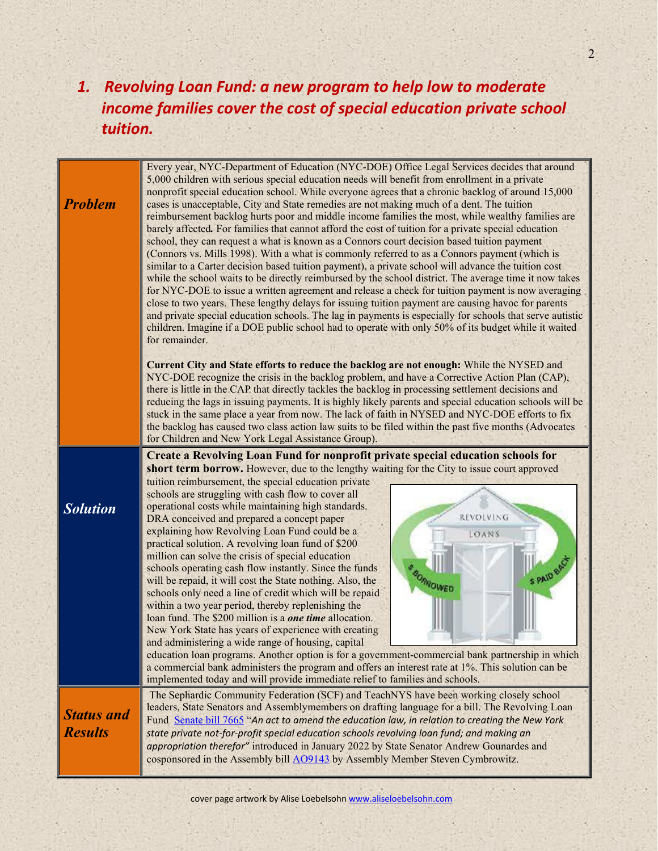## *1. Revolving Loan Fund: a new program to help low to moderate income families cover the cost of special education private school tuition.*

2

| <b>Problem</b>                      | Every year, NYC-Department of Education (NYC-DOE) Office Legal Services decides that around<br>5,000 children with serious special education needs will benefit from enrollment in a private<br>nonprofit special education school. While everyone agrees that a chronic backlog of around 15,000<br>cases is unacceptable, City and State remedies are not making much of a dent. The tuition<br>reimbursement backlog hurts poor and middle income families the most, while wealthy families are<br>barely affected. For families that cannot afford the cost of tuition for a private special education<br>school, they can request a what is known as a Connors court decision based tuition payment<br>(Connors vs. Mills 1998). With a what is commonly referred to as a Connors payment (which is<br>similar to a Carter decision based tuition payment), a private school will advance the tuition cost<br>while the school waits to be directly reimbursed by the school district. The average time it now takes<br>for NYC-DOE to issue a written agreement and release a check for tuition payment is now averaging<br>close to two years. These lengthy delays for issuing tuition payment are causing havoc for parents<br>and private special education schools. The lag in payments is especially for schools that serve autistic<br>children. Imagine if a DOE public school had to operate with only 50% of its budget while it waited<br>for remainder. |
|-------------------------------------|---------------------------------------------------------------------------------------------------------------------------------------------------------------------------------------------------------------------------------------------------------------------------------------------------------------------------------------------------------------------------------------------------------------------------------------------------------------------------------------------------------------------------------------------------------------------------------------------------------------------------------------------------------------------------------------------------------------------------------------------------------------------------------------------------------------------------------------------------------------------------------------------------------------------------------------------------------------------------------------------------------------------------------------------------------------------------------------------------------------------------------------------------------------------------------------------------------------------------------------------------------------------------------------------------------------------------------------------------------------------------------------------------------------------------------------------------------------------------|
|                                     | Current City and State efforts to reduce the backlog are not enough: While the NYSED and<br>NYC-DOE recognize the crisis in the backlog problem, and have a Corrective Action Plan (CAP),<br>there is little in the CAP that directly tackles the backlog in processing settlement decisions and<br>reducing the lags in issuing payments. It is highly likely parents and special education schools will be<br>stuck in the same place a year from now. The lack of faith in NYSED and NYC-DOE efforts to fix<br>the backlog has caused two class action law suits to be filed within the past five months (Advocates<br>for Children and New York Legal Assistance Group).                                                                                                                                                                                                                                                                                                                                                                                                                                                                                                                                                                                                                                                                                                                                                                                              |
| <b>Solution</b>                     | <b>Create a Revolving Loan Fund for nonprofit private special education schools for</b><br>short term borrow. However, due to the lengthy waiting for the City to issue court approved<br>tuition reimbursement, the special education private<br>schools are struggling with cash flow to cover all<br>operational costs while maintaining high standards.<br>REVOLVING<br>DRA conceived and prepared a concept paper<br>explaining how Revolving Loan Fund could be a<br>LOANS<br>practical solution. A revolving loan fund of \$200<br>million can solve the crisis of special education<br>PAID BACK<br>schools operating cash flow instantly. Since the funds<br>BORROWED<br>will be repaid, it will cost the State nothing. Also, the<br>schools only need a line of credit which will be repaid<br>within a two year period, thereby replenishing the<br>loan fund. The \$200 million is a one time allocation.<br>New York State has years of experience with creating<br>and administering a wide range of housing, capital<br>education loan programs. Another option is for a government-commercial bank partnership in which<br>a commercial bank administers the program and offers an interest rate at 1%. This solution can be<br>implemented today and will provide immediate relief to families and schools.                                                                                                                                             |
| <b>Status and</b><br><b>Results</b> | The Sephardic Community Federation (SCF) and TeachNYS have been working closely school<br>leaders, State Senators and Assemblymembers on drafting language for a bill. The Revolving Loan<br>Fund Senate bill 7665 "An act to amend the education law, in relation to creating the New York<br>state private not-for-profit special education schools revolving loan fund; and making an<br>appropriation therefor" introduced in January 2022 by State Senator Andrew Gounardes and<br>cosponsored in the Assembly bill AO9143 by Assembly Member Steven Cymbrowitz.                                                                                                                                                                                                                                                                                                                                                                                                                                                                                                                                                                                                                                                                                                                                                                                                                                                                                                     |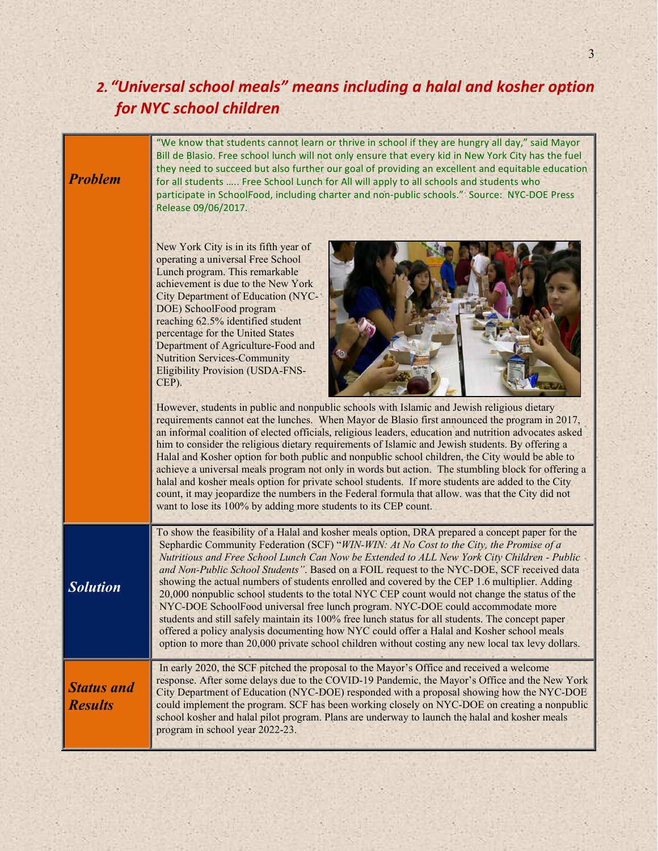## *2. "Universal school meals" means including a halal and kosher option for NYC school children*

| <b>Problem</b>                      | "We know that students cannot learn or thrive in school if they are hungry all day," said Mayor<br>Bill de Blasio. Free school lunch will not only ensure that every kid in New York City has the fuel<br>they need to succeed but also further our goal of providing an excellent and equitable education<br>for all students  Free School Lunch for All will apply to all schools and students who<br>participate in SchoolFood, including charter and non-public schools." Source: NYC-DOE Press<br>Release 09/06/2017.                                                                                                                                                                                                                                                                                                                                                                                                                                                                                                                                                                                                                                                                                                                                                                                                                |
|-------------------------------------|-------------------------------------------------------------------------------------------------------------------------------------------------------------------------------------------------------------------------------------------------------------------------------------------------------------------------------------------------------------------------------------------------------------------------------------------------------------------------------------------------------------------------------------------------------------------------------------------------------------------------------------------------------------------------------------------------------------------------------------------------------------------------------------------------------------------------------------------------------------------------------------------------------------------------------------------------------------------------------------------------------------------------------------------------------------------------------------------------------------------------------------------------------------------------------------------------------------------------------------------------------------------------------------------------------------------------------------------|
|                                     | New York City is in its fifth year of<br>operating a universal Free School<br>Lunch program. This remarkable<br>achievement is due to the New York<br>City Department of Education (NYC-<br>DOE) SchoolFood program<br>reaching 62.5% identified student<br>percentage for the United States<br>Department of Agriculture-Food and<br>Ø.<br><b>Nutrition Services-Community</b><br><b>Eligibility Provision (USDA-FNS-</b><br>CEP).<br>However, students in public and nonpublic schools with Islamic and Jewish religious dietary<br>requirements cannot eat the lunches. When Mayor de Blasio first announced the program in 2017,<br>an informal coalition of elected officials, religious leaders, education and nutrition advocates asked<br>him to consider the religious dietary requirements of Islamic and Jewish students. By offering a<br>Halal and Kosher option for both public and nonpublic school children, the City would be able to<br>achieve a universal meals program not only in words but action. The stumbling block for offering a<br>halal and kosher meals option for private school students. If more students are added to the City<br>count, it may jeopardize the numbers in the Federal formula that allow. was that the City did not<br>want to lose its 100% by adding more students to its CEP count. |
| <b>Solution</b>                     | To show the feasibility of a Halal and kosher meals option, DRA prepared a concept paper for the<br>Sephardic Community Federation (SCF) "WIN-WIN: At No Cost to the City, the Promise of a<br>Nutritious and Free School Lunch Can Now be Extended to ALL New York City Children - Public<br>and Non-Public School Students". Based on a FOIL request to the NYC-DOE, SCF received data<br>showing the actual numbers of students enrolled and covered by the CEP 1.6 multiplier. Adding<br>20,000 nonpublic school students to the total NYC CEP count would not change the status of the<br>NYC-DOE SchoolFood universal free lunch program. NYC-DOE could accommodate more<br>students and still safely maintain its 100% free lunch status for all students. The concept paper<br>offered a policy analysis documenting how NYC could offer a Halal and Kosher school meals<br>option to more than 20,000 private school children without costing any new local tax levy dollars.                                                                                                                                                                                                                                                                                                                                                    |
| <b>Status and</b><br><b>Results</b> | In early 2020, the SCF pitched the proposal to the Mayor's Office and received a welcome<br>response. After some delays due to the COVID-19 Pandemic, the Mayor's Office and the New York<br>City Department of Education (NYC-DOE) responded with a proposal showing how the NYC-DOE<br>could implement the program. SCF has been working closely on NYC-DOE on creating a nonpublic<br>school kosher and halal pilot program. Plans are underway to launch the halal and kosher meals<br>program in school year 2022-23.                                                                                                                                                                                                                                                                                                                                                                                                                                                                                                                                                                                                                                                                                                                                                                                                                |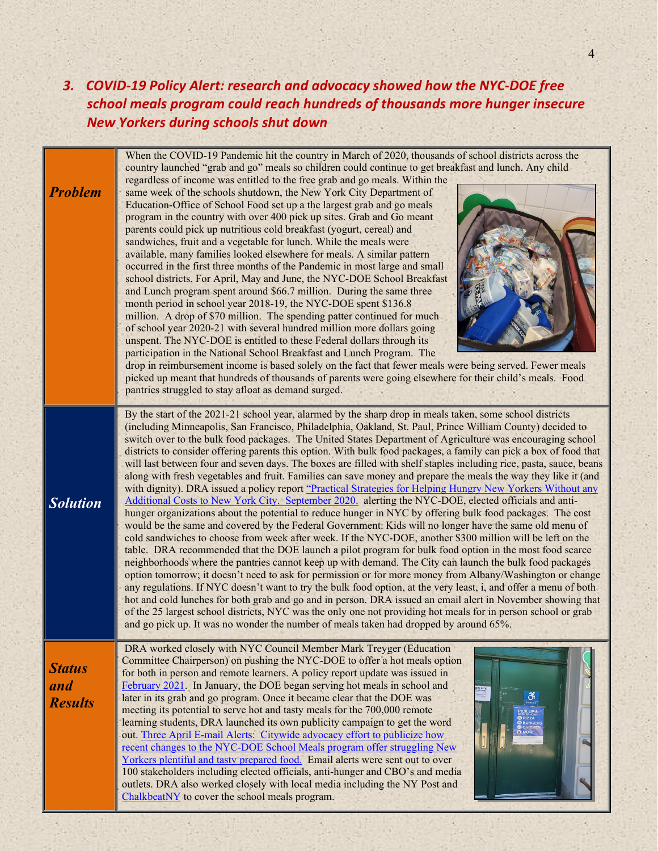*3. COVID-19 Policy Alert: research and advocacy showed how the NYC-DOE free school meals program could reach hundreds of thousands more hunger insecure New Yorkers during schools shut down*

4

| <b>Problem</b>                         | When the COVID-19 Pandemic hit the country in March of 2020, thousands of school districts across the<br>country launched "grab and go" meals so children could continue to get breakfast and lunch. Any child<br>regardless of income was entitled to the free grab and go meals. Within the<br>same week of the schools shutdown, the New York City Department of<br>Education-Office of School Food set up a the largest grab and go meals<br>program in the country with over 400 pick up sites. Grab and Go meant<br>parents could pick up nutritious cold breakfast (yogurt, cereal) and<br>sandwiches, fruit and a vegetable for lunch. While the meals were<br>available, many families looked elsewhere for meals. A similar pattern<br>occurred in the first three months of the Pandemic in most large and small<br>school districts. For April, May and June, the NYC-DOE School Breakfast<br>and Lunch program spent around \$66.7 million. During the same three<br>month period in school year 2018-19, the NYC-DOE spent \$136.8<br>million. A drop of \$70 million. The spending patter continued for much<br>of school year 2020-21 with several hundred million more dollars going<br>unspent. The NYC-DOE is entitled to these Federal dollars through its<br>participation in the National School Breakfast and Lunch Program. The<br>drop in reimbursement income is based solely on the fact that fewer meals were being served. Fewer meals<br>picked up meant that hundreds of thousands of parents were going elsewhere for their child's meals. Food<br>pantries struggled to stay afloat as demand surged.                                                                                                                                                                                                                                                                                                                                                                                                    |
|----------------------------------------|-------------------------------------------------------------------------------------------------------------------------------------------------------------------------------------------------------------------------------------------------------------------------------------------------------------------------------------------------------------------------------------------------------------------------------------------------------------------------------------------------------------------------------------------------------------------------------------------------------------------------------------------------------------------------------------------------------------------------------------------------------------------------------------------------------------------------------------------------------------------------------------------------------------------------------------------------------------------------------------------------------------------------------------------------------------------------------------------------------------------------------------------------------------------------------------------------------------------------------------------------------------------------------------------------------------------------------------------------------------------------------------------------------------------------------------------------------------------------------------------------------------------------------------------------------------------------------------------------------------------------------------------------------------------------------------------------------------------------------------------------------------------------------------------------------------------------------------------------------------------------------------------------------------------------------------------------------------------------------------------------------------------------------------------|
| <b>Solution</b>                        | By the start of the 2021-21 school year, alarmed by the sharp drop in meals taken, some school districts<br>(including Minneapolis, San Francisco, Philadelphia, Oakland, St. Paul, Prince William County) decided to<br>switch over to the bulk food packages. The United States Department of Agriculture was encouraging school<br>districts to consider offering parents this option. With bulk food packages, a family can pick a box of food that<br>will last between four and seven days. The boxes are filled with shelf staples including rice, pasta, sauce, beans<br>along with fresh vegetables and fruit. Families can save money and prepare the meals the way they like it (and<br>with dignity). DRA issued a policy report "Practical Strategies for Helping Hungry New Yorkers Without any<br>Additional Costs to New York City. September 2020, alerting the NYC-DOE, elected officials and anti-<br>hunger organizations about the potential to reduce hunger in NYC by offering bulk food packages. The cost<br>would be the same and covered by the Federal Government. Kids will no longer have the same old menu of<br>cold sandwiches to choose from week after week. If the NYC-DOE, another \$300 million will be left on the<br>table. DRA recommended that the DOE launch a pilot program for bulk food option in the most food scarce<br>neighborhoods where the pantries cannot keep up with demand. The City can launch the bulk food packages<br>option tomorrow; it doesn't need to ask for permission or for more money from Albany/Washington or change<br>any regulations. If NYC doesn't want to try the bulk food option, at the very least, i, and offer a menu of both<br>hot and cold lunches for both grab and go and in person. DRA issued an email alert in November showing that<br>of the 25 largest school districts, NYC was the only one not providing hot meals for in person school or grab<br>and go pick up. It was no wonder the number of meals taken had dropped by around 65%. |
| <b>Status</b><br>and<br><b>Results</b> | DRA worked closely with NYC Council Member Mark Treyger (Education<br>Committee Chairperson) on pushing the NYC-DOE to offer a hot meals option<br>for both in person and remote learners. A policy report update was issued in<br>February 2021. In January, the DOE began serving hot meals in school and<br><b>IS SITE</b><br>õĩ<br>later in its grab and go program. Once it became clear that the DOE was<br>meeting its potential to serve hot and tasty meals for the 700,000 remote<br>learning students, DRA launched its own publicity campaign to get the word<br>out. Three April E-mail Alerts: Citywide advocacy effort to publicize how<br>recent changes to the NYC-DOE School Meals program offer struggling New<br>Yorkers plentiful and tasty prepared food. Email alerts were sent out to over<br>100 stakeholders including elected officials, anti-hunger and CBO's and media<br>outlets. DRA also worked closely with local media including the NY Post and<br>ChalkbeatNY to cover the school meals program.                                                                                                                                                                                                                                                                                                                                                                                                                                                                                                                                                                                                                                                                                                                                                                                                                                                                                                                                                                                                      |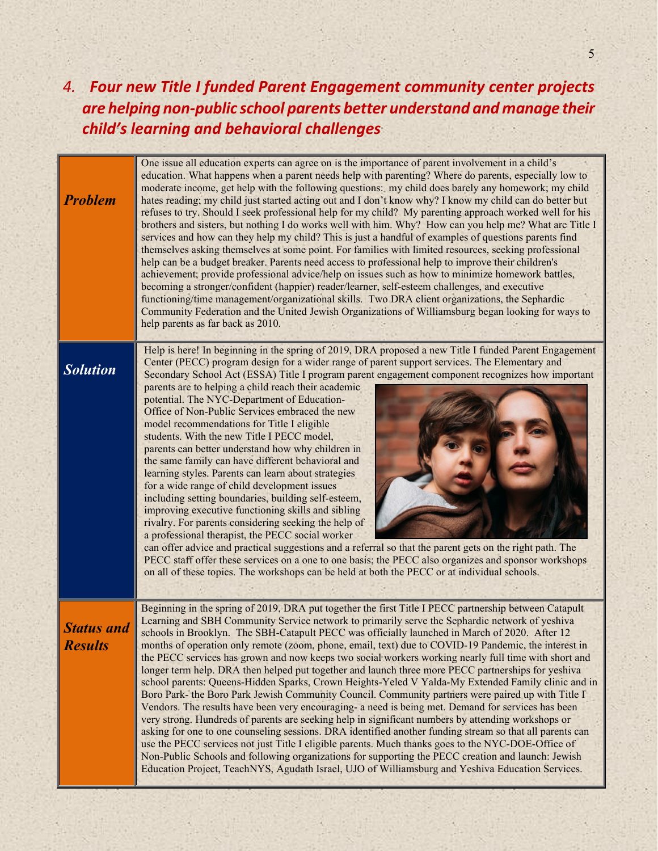*4. Four new Title I funded Parent Engagement community center projects are helping non-public school parents better understand and manage their child's learning and behavioral challenges*

| <b>Problem</b>                      | One issue all education experts can agree on is the importance of parent involvement in a child's<br>education. What happens when a parent needs help with parenting? Where do parents, especially low to<br>moderate income, get help with the following questions: my child does barely any homework; my child<br>hates reading; my child just started acting out and I don't know why? I know my child can do better but<br>refuses to try. Should I seek professional help for my child? My parenting approach worked well for his<br>brothers and sisters, but nothing I do works well with him. Why? How can you help me? What are Title I<br>services and how can they help my child? This is just a handful of examples of questions parents find<br>themselves asking themselves at some point. For families with limited resources, seeking professional<br>help can be a budget breaker. Parents need access to professional help to improve their children's<br>achievement; provide professional advice/help on issues such as how to minimize homework battles,<br>becoming a stronger/confident (happier) reader/learner, self-esteem challenges, and executive<br>functioning/time management/organizational skills. Two DRA client organizations, the Sephardic<br>Community Federation and the United Jewish Organizations of Williamsburg began looking for ways to<br>help parents as far back as 2010.                                                       |
|-------------------------------------|-----------------------------------------------------------------------------------------------------------------------------------------------------------------------------------------------------------------------------------------------------------------------------------------------------------------------------------------------------------------------------------------------------------------------------------------------------------------------------------------------------------------------------------------------------------------------------------------------------------------------------------------------------------------------------------------------------------------------------------------------------------------------------------------------------------------------------------------------------------------------------------------------------------------------------------------------------------------------------------------------------------------------------------------------------------------------------------------------------------------------------------------------------------------------------------------------------------------------------------------------------------------------------------------------------------------------------------------------------------------------------------------------------------------------------------------------------------------------------------|
| <b>Solution</b>                     | Help is here! In beginning in the spring of 2019, DRA proposed a new Title I funded Parent Engagement<br>Center (PECC) program design for a wider range of parent support services. The Elementary and<br>Secondary School Act (ESSA) Title I program parent engagement component recognizes how important<br>parents are to helping a child reach their academic<br>potential. The NYC-Department of Education-<br>Office of Non-Public Services embraced the new<br>model recommendations for Title I eligible<br>students. With the new Title I PECC model,<br>parents can better understand how why children in<br>the same family can have different behavioral and<br>learning styles. Parents can learn about strategies<br>for a wide range of child development issues<br>including setting boundaries, building self-esteem,<br>improving executive functioning skills and sibling<br>rivalry. For parents considering seeking the help of<br>a professional therapist, the PECC social worker<br>can offer advice and practical suggestions and a referral so that the parent gets on the right path. The<br>PECC staff offer these services on a one to one basis; the PECC also organizes and sponsor workshops<br>on all of these topics. The workshops can be held at both the PECC or at individual schools.                                                                                                                                                      |
| <b>Status and</b><br><b>Results</b> | Beginning in the spring of 2019, DRA put together the first Title I PECC partnership between Catapult<br>Learning and SBH Community Service network to primarily serve the Sephardic network of yeshiva<br>schools in Brooklyn. The SBH-Catapult PECC was officially launched in March of 2020. After 12<br>months of operation only remote (zoom, phone, email, text) due to COVID-19 Pandemic, the interest in<br>the PECC services has grown and now keeps two social workers working nearly full time with short and<br>longer term help. DRA then helped put together and launch three more PECC partnerships for yeshiva<br>school parents: Queens-Hidden Sparks, Crown Heights-Yeled V Yalda-My Extended Family clinic and in<br>Boro Park- the Boro Park Jewish Community Council. Community partners were paired up with Title I<br>Vendors. The results have been very encouraging- a need is being met. Demand for services has been<br>very strong. Hundreds of parents are seeking help in significant numbers by attending workshops or<br>asking for one to one counseling sessions. DRA identified another funding stream so that all parents can<br>use the PECC services not just Title I eligible parents. Much thanks goes to the NYC-DOE-Office of<br>Non-Public Schools and following organizations for supporting the PECC creation and launch: Jewish<br>Education Project, TeachNYS, Agudath Israel, UJO of Williamsburg and Yeshiva Education Services. |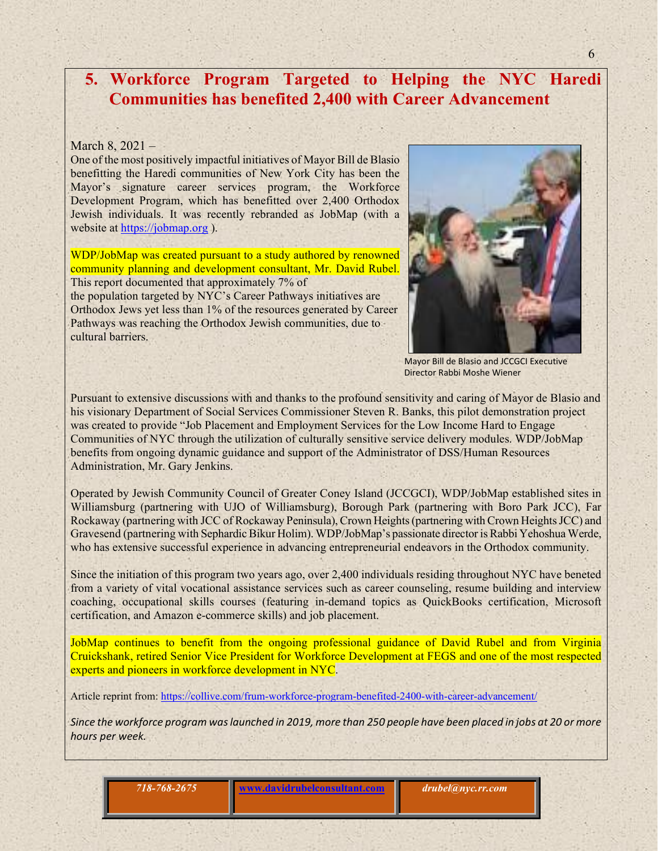### **5. Workforce Program Targeted to Helping the NYC Haredi Communities has benefited 2,400 with Career Advancement**

#### March 8, 2021 –

One of the most positively impactful initiatives of Mayor Bill de Blasio benefitting the Haredi communities of New York City has been the Mayor's signature career services program, the Workforce Development Program, which has benefitted over 2,400 Orthodox Jewish individuals. It was recently rebranded as JobMap (with a website at [https://jobmap.org](https://jobmap.org/) ).

WDP/JobMap was created pursuant to a study authored by renowned community planning and development consultant, Mr. David Rubel. This report documented that approximately 7% of

the population targeted by NYC's Career Pathways initiatives are Orthodox Jews yet less than 1% of the resources generated by Career Pathways was reaching the Orthodox Jewish communities, due to cultural barriers.



6

 Mayor Bill de Blasio and JCCGCI Executive Director Rabbi Moshe Wiener

Pursuant to extensive discussions with and thanks to the profound sensitivity and caring of Mayor de Blasio and his visionary Department of Social Services Commissioner Steven R. Banks, this pilot demonstration project was created to provide "Job Placement and Employment Services for the Low Income Hard to Engage Communities of NYC through the utilization of culturally sensitive service delivery modules. WDP/JobMap benefits from ongoing dynamic guidance and support of the Administrator of DSS/Human Resources Administration, Mr. Gary Jenkins.

Operated by Jewish Community Council of Greater Coney Island (JCCGCI), WDP/JobMap established sites in Williamsburg (partnering with UJO of Williamsburg), Borough Park (partnering with Boro Park JCC), Far Rockaway (partnering with JCC of Rockaway Peninsula), Crown Heights (partnering with Crown HeightsJCC) and Gravesend (partnering with Sephardic Bikur Holim). WDP/JobMap's passionate director is Rabbi Yehoshua Werde, who has extensive successful experience in advancing entrepreneurial endeavors in the Orthodox community.

Since the initiation of this program two years ago, over 2,400 individuals residing throughout NYC have beneted from a variety of vital vocational assistance services such as career counseling, resume building and interview coaching, occupational skills courses (featuring in-demand topics as QuickBooks certification, Microsoft certification, and Amazon e-commerce skills) and job placement.

JobMap continues to benefit from the ongoing professional guidance of David Rubel and from Virginia Cruickshank, retired Senior Vice President for Workforce Development at FEGS and one of the most respected experts and pioneers in workforce development in NYC.

Article reprint from: <https://collive.com/frum-workforce-program-benefited-2400-with-career-advancement/>

*Since the workforce program was launched in 2019, more than 250 people have been placed in jobs at 20 or more hours per week.*